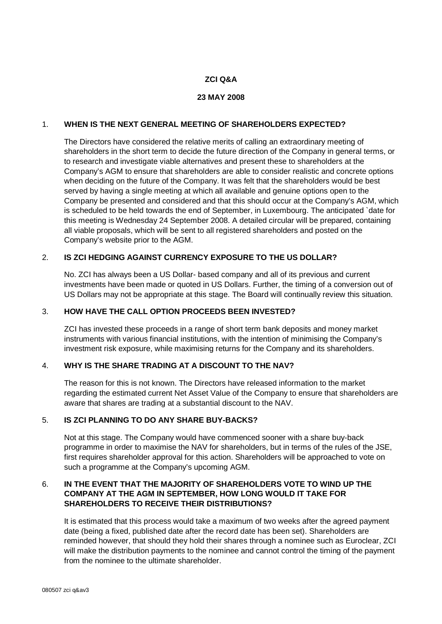### **ZCI Q&A**

#### **23 MAY 2008**

## 1. **WHEN IS THE NEXT GENERAL MEETING OF SHAREHOLDERS EXPECTED?**

The Directors have considered the relative merits of calling an extraordinary meeting of shareholders in the short term to decide the future direction of the Company in general terms, or to research and investigate viable alternatives and present these to shareholders at the Company's AGM to ensure that shareholders are able to consider realistic and concrete options when deciding on the future of the Company. It was felt that the shareholders would be best served by having a single meeting at which all available and genuine options open to the Company be presented and considered and that this should occur at the Company's AGM, which is scheduled to be held towards the end of September, in Luxembourg. The anticipated `date for this meeting is Wednesday 24 September 2008. A detailed circular will be prepared, containing all viable proposals, which will be sent to all registered shareholders and posted on the Company's website prior to the AGM.

### 2. **IS ZCI HEDGING AGAINST CURRENCY EXPOSURE TO THE US DOLLAR?**

No. ZCI has always been a US Dollar- based company and all of its previous and current investments have been made or quoted in US Dollars. Further, the timing of a conversion out of US Dollars may not be appropriate at this stage. The Board will continually review this situation.

## 3. **HOW HAVE THE CALL OPTION PROCEEDS BEEN INVESTED?**

ZCI has invested these proceeds in a range of short term bank deposits and money market instruments with various financial institutions, with the intention of minimising the Company's investment risk exposure, while maximising returns for the Company and its shareholders.

## 4. **WHY IS THE SHARE TRADING AT A DISCOUNT TO THE NAV?**

The reason for this is not known. The Directors have released information to the market regarding the estimated current Net Asset Value of the Company to ensure that shareholders are aware that shares are trading at a substantial discount to the NAV.

#### 5. **IS ZCI PLANNING TO DO ANY SHARE BUY-BACKS?**

Not at this stage. The Company would have commenced sooner with a share buy-back programme in order to maximise the NAV for shareholders, but in terms of the rules of the JSE, first requires shareholder approval for this action. Shareholders will be approached to vote on such a programme at the Company's upcoming AGM.

# 6. **IN THE EVENT THAT THE MAJORITY OF SHAREHOLDERS VOTE TO WIND UP THE COMPANY AT THE AGM IN SEPTEMBER, HOW LONG WOULD IT TAKE FOR SHAREHOLDERS TO RECEIVE THEIR DISTRIBUTIONS?**

It is estimated that this process would take a maximum of two weeks after the agreed payment date (being a fixed, published date after the record date has been set). Shareholders are reminded however, that should they hold their shares through a nominee such as Euroclear, ZCI will make the distribution payments to the nominee and cannot control the timing of the payment from the nominee to the ultimate shareholder.